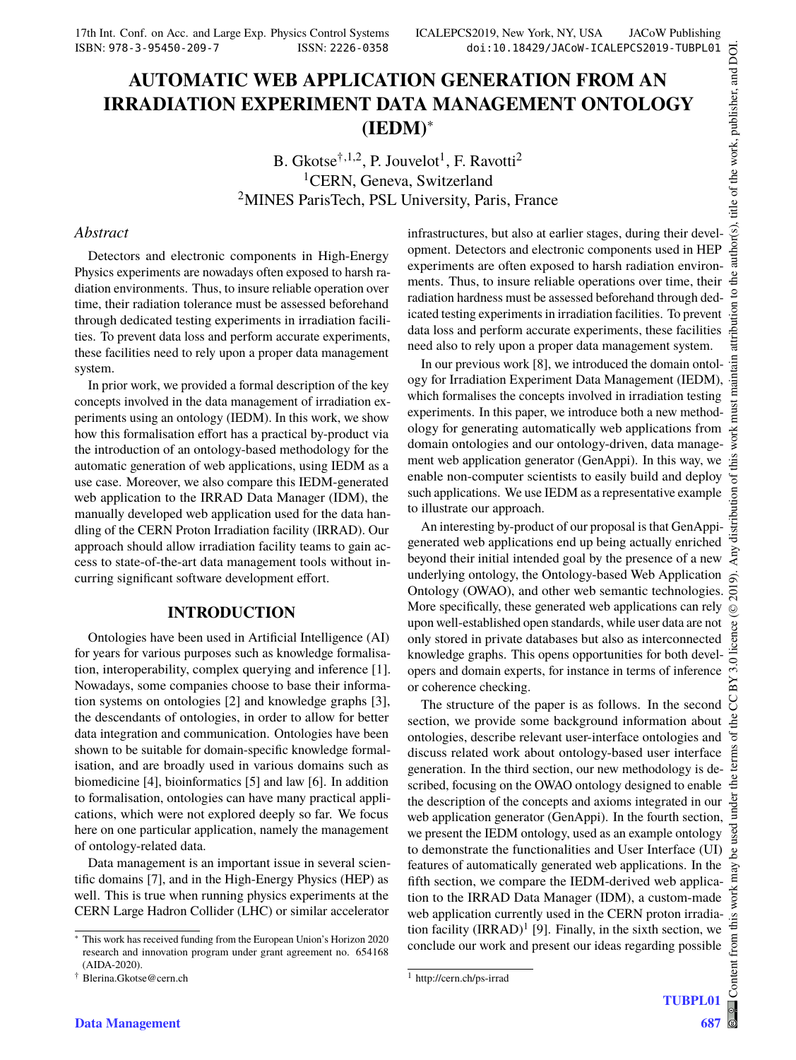# **AUTOMATIC WEB APPLICATION GENERATION FROM AN IRRADIATION EXPERIMENT DATA MANAGEMENT ONTOLOGY (IEDM)**<sup>∗</sup>

B. Gkots $e^{\dagger,1,2}$ , P. Jouvelot<sup>1</sup>, F. Ravotti<sup>2</sup> <sup>1</sup>CERN, Geneva, Switzerland <sup>2</sup>MINES ParisTech, PSL University, Paris, France

#### *Abstract*

Detectors and electronic components in High-Energy Physics experiments are nowadays often exposed to harsh radiation environments. Thus, to insure reliable operation over time, their radiation tolerance must be assessed beforehand through dedicated testing experiments in irradiation facilities. To prevent data loss and perform accurate experiments, these facilities need to rely upon a proper data management system.

In prior work, we provided a formal description of the key concepts involved in the data management of irradiation experiments using an ontology (IEDM). In this work, we show how this formalisation effort has a practical by-product via the introduction of an ontology-based methodology for the automatic generation of web applications, using IEDM as a use case. Moreover, we also compare this IEDM-generated web application to the IRRAD Data Manager (IDM), the manually developed web application used for the data handling of the CERN Proton Irradiation facility (IRRAD). Our approach should allow irradiation facility teams to gain access to state-of-the-art data management tools without incurring significant software development effort.

## **INTRODUCTION**

Ontologies have been used in Artificial Intelligence (AI) for years for various purposes such as knowledge formalisation, interoperability, complex querying and inference [1]. Nowadays, some companies choose to base their information systems on ontologies [2] and knowledge graphs [3], the descendants of ontologies, in order to allow for better data integration and communication. Ontologies have been shown to be suitable for domain-specific knowledge formalisation, and are broadly used in various domains such as biomedicine [4], bioinformatics [5] and law [6]. In addition to formalisation, ontologies can have many practical applications, which were not explored deeply so far. We focus here on one particular application, namely the management of ontology-related data.

Data management is an important issue in several scientific domains [7], and in the High-Energy Physics (HEP) as well. This is true when running physics experiments at the CERN Large Hadron Collider (LHC) or similar accelerator infrastructures, but also at earlier stages, during their development. Detectors and electronic components used in HEP experiments are often exposed to harsh radiation environments. Thus, to insure reliable operations over time, their radiation hardness must be assessed beforehand through dedicated testing experiments in irradiation facilities. To prevent data loss and perform accurate experiments, these facilities need also to rely upon a proper data management system.

In our previous work [8], we introduced the domain ontology for Irradiation Experiment Data Management (IEDM), which formalises the concepts involved in irradiation testing experiments. In this paper, we introduce both a new methodology for generating automatically web applications from domain ontologies and our ontology-driven, data management web application generator (GenAppi). In this way, we enable non-computer scientists to easily build and deploy such applications. We use IEDM as a representative example to illustrate our approach.

An interesting by-product of our proposal is that GenAppigenerated web applications end up being actually enriched beyond their initial intended goal by the presence of a new underlying ontology, the Ontology-based Web Application Ontology (OWAO), and other web semantic technologies. More specifically, these generated web applications can rely upon well-established open standards, while user data are not only stored in private databases but also as interconnected knowledge graphs. This opens opportunities for both developers and domain experts, for instance in terms of inference or coherence checking.

The structure of the paper is as follows. In the second section, we provide some background information about ontologies, describe relevant user-interface ontologies and discuss related work about ontology-based user interface generation. In the third section, our new methodology is described, focusing on the OWAO ontology designed to enable the description of the concepts and axioms integrated in our web application generator (GenAppi). In the fourth section, we present the IEDM ontology, used as an example ontology to demonstrate the functionalities and User Interface (UI) features of automatically generated web applications. In the fifth section, we compare the IEDM-derived web application to the IRRAD Data Manager (IDM), a custom-made web application currently used in the CERN proton irradiation facility  $\text{(IRRAD)}^1$  [9]. Finally, in the sixth section, we conclude our work and present our ideas regarding possible

**TUBPL01**

<sup>∗</sup> This work has received funding from the European Union's Horizon 2020 research and innovation program under grant agreement no. 654168 (AIDA-2020).

<sup>†</sup> Blerina.Gkotse@cern.ch

<sup>1</sup> http://cern.ch/ps-irrad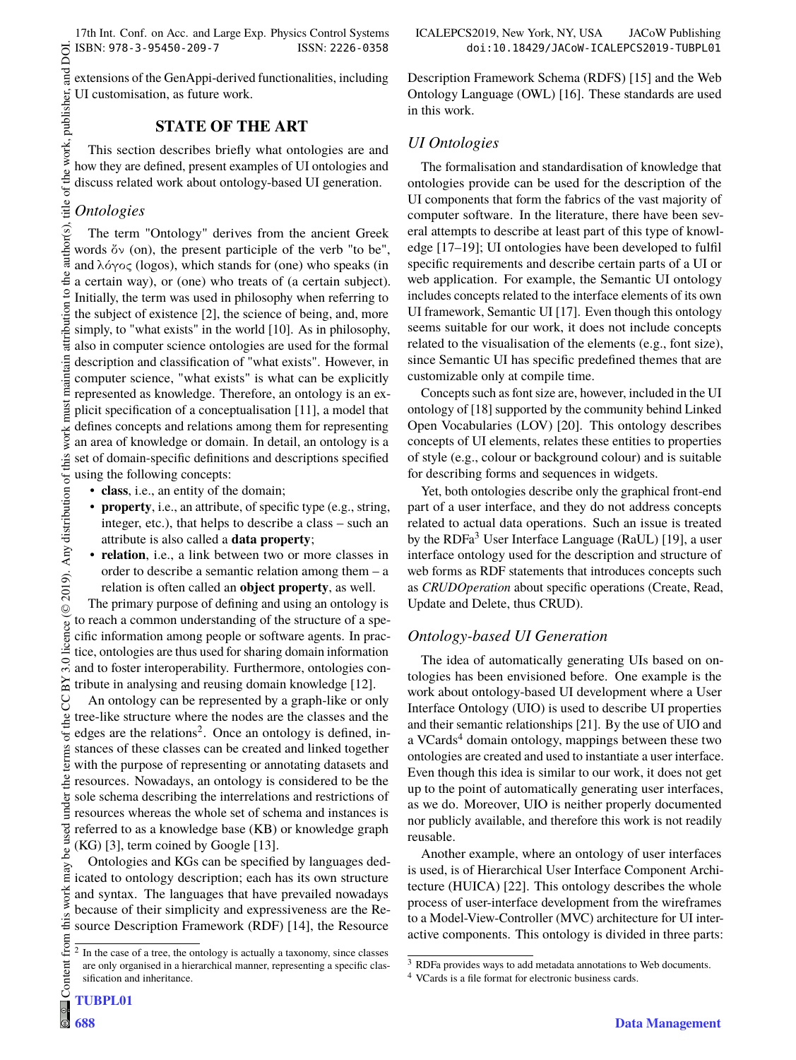17th Int. Conf. on Acc. and Large Exp. Physics Control Systems ICALEPCS2019, New York, NY, USA JACoW Publishing ISBN: 978-3-95450-209-7 ISSN: 2226-0358 doi:10.18429/JACoW-ICALEPCS2019-TUBPL01

extensions of the GenAppi-derived functionalities, including UI customisation, as future work.

## **STATE OF THE ART**

This section describes briefly what ontologies are and how they are defined, present examples of UI ontologies and discuss related work about ontology-based UI generation.

## *Ontologies*

DOI. and<br>and

the

attribution to

 $\circ$  2019). Any distribution of this work must maintain attribution to the author(s), title of the work, publisher, and DOI. author(s), title of the work, publisher, The term "Ontology" derives from the ancient Greek words  $\delta v$  (on), the present participle of the verb "to be", and  $\lambda$ ó $\gamma$ o $\zeta$  (logos), which stands for (one) who speaks (in a certain way), or (one) who treats of (a certain subject). Initially, the term was used in philosophy when referring to the subject of existence [2], the science of being, and, more simply, to "what exists" in the world [10]. As in philosophy, also in computer science ontologies are used for the formal description and classification of "what exists". However, in computer science, "what exists" is what can be explicitly represented as knowledge. Therefore, an ontology is an explicit specification of a conceptualisation [11], a model that defines concepts and relations among them for representing an area of knowledge or domain. In detail, an ontology is a set of domain-specific definitions and descriptions specified using the following concepts:

- **class**, i.e., an entity of the domain;
- **property**, i.e., an attribute, of specific type (e.g., string, integer, etc.), that helps to describe a class – such an attribute is also called a **data property**;
- **relation**, i.e., a link between two or more classes in order to describe a semantic relation among them – a relation is often called an **object property**, as well.

The primary purpose of defining and using an ontology is to reach a common understanding of the structure of a specific information among people or software agents. In practice, ontologies are thus used for sharing domain information and to foster interoperability. Furthermore, ontologies con- $\Xi$  tribute in analysing and reusing domain knowledge [12].

An ontology can be represented by a graph-like or only tree-like structure where the nodes are the classes and the edges are the relations<sup>2</sup>. Once an ontology is defined, instances of these classes can be created and linked together with the purpose of representing or annotating datasets and resources. Nowadays, an ontology is considered to be the sole schema describing the interrelations and restrictions of resources whereas the whole set of schema and instances is referred to as a knowledge base (KB) or knowledge graph (KG) [3], term coined by Google [13].

Ontologies and KGs can be specified by languages dedicated to ontology description; each has its own structure and syntax. The languages that have prevailed nowadays because of their simplicity and expressiveness are the Resource Description Framework (RDF) [14], the Resource Description Framework Schema (RDFS) [15] and the Web Ontology Language (OWL) [16]. These standards are used in this work.

#### *UI Ontologies*

The formalisation and standardisation of knowledge that ontologies provide can be used for the description of the UI components that form the fabrics of the vast majority of computer software. In the literature, there have been several attempts to describe at least part of this type of knowledge [17–19]; UI ontologies have been developed to fulfil specific requirements and describe certain parts of a UI or web application. For example, the Semantic UI ontology includes concepts related to the interface elements of its own UI framework, Semantic UI [17]. Even though this ontology seems suitable for our work, it does not include concepts related to the visualisation of the elements (e.g., font size), since Semantic UI has specific predefined themes that are customizable only at compile time.

Concepts such as font size are, however, included in the UI ontology of [18] supported by the community behind Linked Open Vocabularies (LOV) [20]. This ontology describes concepts of UI elements, relates these entities to properties of style (e.g., colour or background colour) and is suitable for describing forms and sequences in widgets.

Yet, both ontologies describe only the graphical front-end part of a user interface, and they do not address concepts related to actual data operations. Such an issue is treated by the RDFa<sup>3</sup> User Interface Language (RaUL) [19], a user interface ontology used for the description and structure of web forms as RDF statements that introduces concepts such as *CRUDOperation* about specific operations (Create, Read, Update and Delete, thus CRUD).

## *Ontology-based UI Generation*

The idea of automatically generating UIs based on ontologies has been envisioned before. One example is the work about ontology-based UI development where a User Interface Ontology (UIO) is used to describe UI properties and their semantic relationships [21]. By the use of UIO and a VCards $4$  domain ontology, mappings between these two ontologies are created and used to instantiate a user interface. Even though this idea is similar to our work, it does not get up to the point of automatically generating user interfaces, as we do. Moreover, UIO is neither properly documented nor publicly available, and therefore this work is not readily reusable.

Another example, where an ontology of user interfaces is used, is of Hierarchical User Interface Component Architecture (HUICA) [22]. This ontology describes the whole process of user-interface development from the wireframes to a Model-View-Controller (MVC) architecture for UI interactive components. This ontology is divided in three parts:

**TUBPL01**

<sup>2</sup> In the case of a tree, the ontology is actually a taxonomy, since classes are only organised in a hierarchical manner, representing a specific classification and inheritance.

<sup>3</sup> RDFa provides ways to add metadata annotations to Web documents.

<sup>4</sup> VCards is a file format for electronic business cards.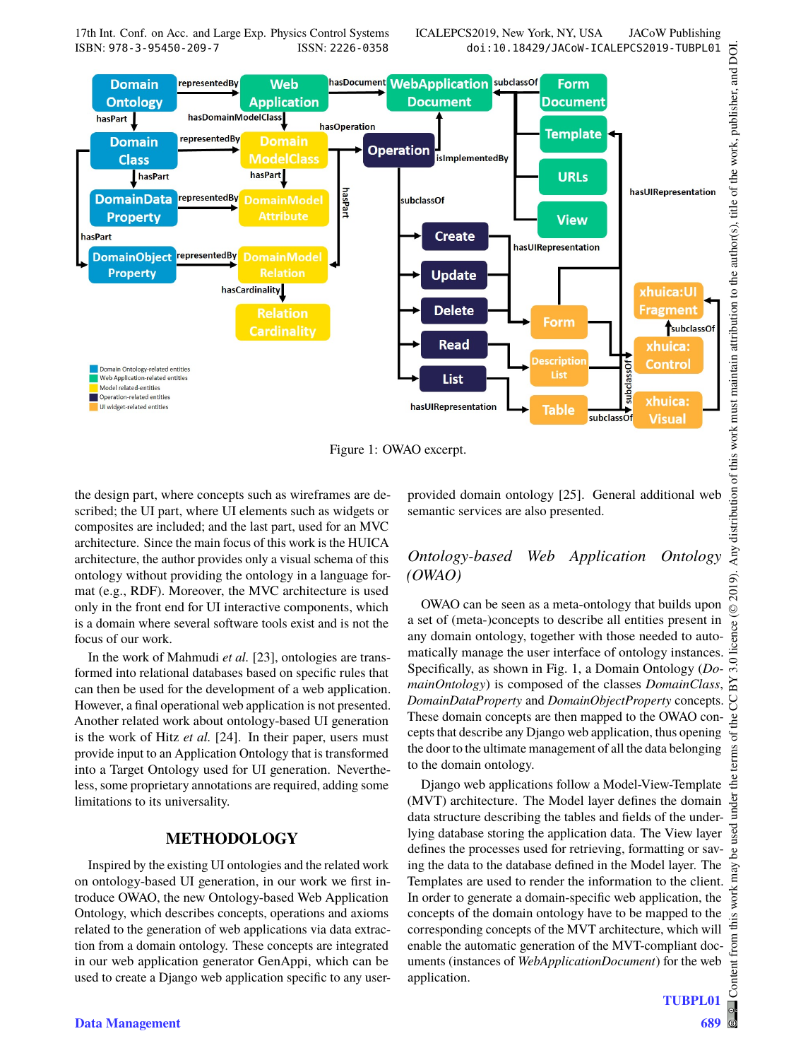17th Int. Conf. on Acc. and Large Exp. Physics Control Systems ICALEPCS2019, New York, NY, USA JACoW Publishing<br>ISSN: 2226-0358 doi:10.18429/JACoW-ICALEPCS2019-TUBPL01 ISBN: 978-3-95450-209-7 ISSN: 2226-0358 doi:10.18429/JACoW-ICALEPCS2019-TUBPL01



Figure 1: OWAO excerpt.

the design part, where concepts such as wireframes are described; the UI part, where UI elements such as widgets or composites are included; and the last part, used for an MVC architecture. Since the main focus of this work is the HUICA architecture, the author provides only a visual schema of this ontology without providing the ontology in a language format (e.g., RDF). Moreover, the MVC architecture is used only in the front end for UI interactive components, which is a domain where several software tools exist and is not the focus of our work.

In the work of Mahmudi *et al.* [23], ontologies are transformed into relational databases based on specific rules that can then be used for the development of a web application. However, a final operational web application is not presented. Another related work about ontology-based UI generation is the work of Hitz *et al.* [24]. In their paper, users must provide input to an Application Ontology that is transformed into a Target Ontology used for UI generation. Nevertheless, some proprietary annotations are required, adding some limitations to its universality.

## **METHODOLOGY**

Inspired by the existing UI ontologies and the related work on ontology-based UI generation, in our work we first introduce OWAO, the new Ontology-based Web Application Ontology, which describes concepts, operations and axioms related to the generation of web applications via data extraction from a domain ontology. These concepts are integrated in our web application generator GenAppi, which can be used to create a Django web application specific to any userprovided domain ontology [25]. General additional web semantic services are also presented.

## *Ontology-based Web Application Ontology (OWAO)*

OWAO can be seen as a meta-ontology that builds upon a set of (meta-)concepts to describe all entities present in any domain ontology, together with those needed to automatically manage the user interface of ontology instances. Specifically, as shown in Fig. 1, a Domain Ontology (*DomainOntology*) is composed of the classes *DomainClass*, *DomainDataProperty* and *DomainObjectProperty* concepts. These domain concepts are then mapped to the OWAO concepts that describe any Django web application, thus opening the door to the ultimate management of all the data belonging to the domain ontology.

Django web applications follow a Model-View-Template (MVT) architecture. The Model layer defines the domain data structure describing the tables and fields of the underlying database storing the application data. The View layer defines the processes used for retrieving, formatting or saving the data to the database defined in the Model layer. The Templates are used to render the information to the client. In order to generate a domain-specific web application, the concepts of the domain ontology have to be mapped to the corresponding concepts of the MVT architecture, which will enable the automatic generation of the MVT-compliant documents (instances of *WebApplicationDocument*) for the web application.

**TUBPL01**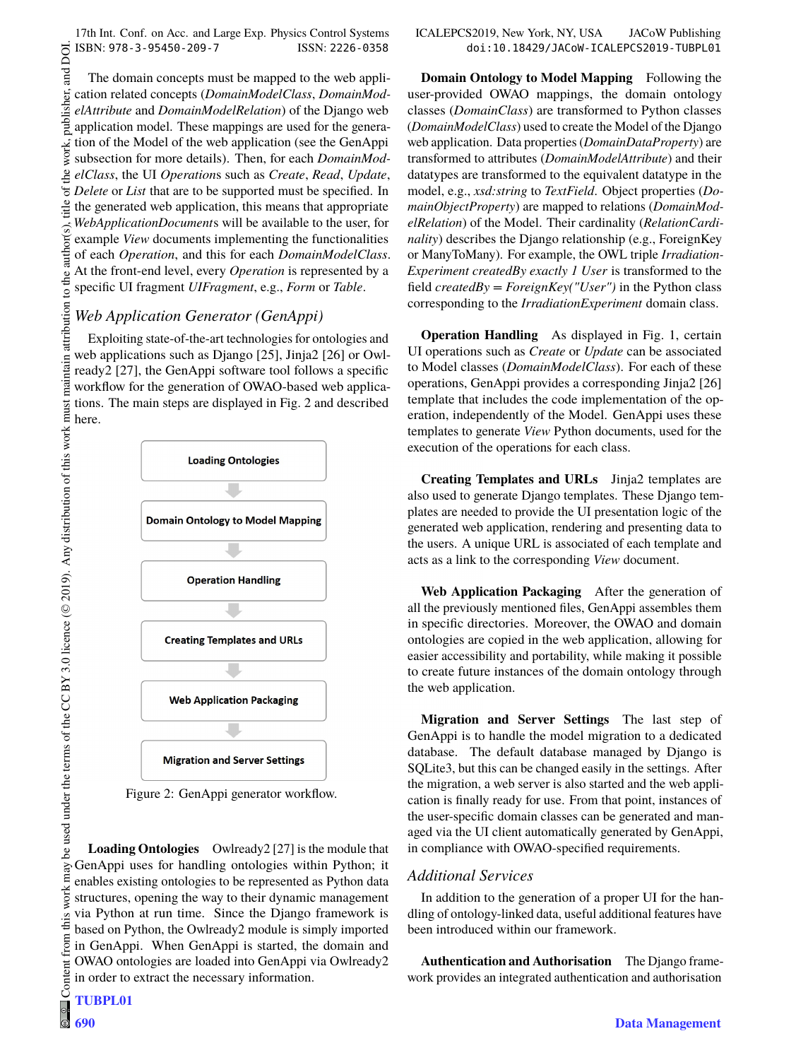and DOI.  $\overline{2010}$ . Any distribution of this work must must maintain attribution to the author(s), title of the work, publisher, and DOI. The domain concepts must be mapped to the web applipublisher. cation related concepts (*DomainModelClass*, *DomainModelAttribute* and *DomainModelRelation*) of the Django web application model. These mappings are used for the generation of the Model of the web application (see the GenAppi work. subsection for more details). Then, for each *DomainMod-* $A<sup>e</sup>$ *elClass*, the UI *Operation*s such as *Create*, *Read*, *Update*,  $\int$ *Delete* or *List* that are to be supported must be specified. In itle the generated web application, this means that appropriate *WebApplicationDocument*s will be available to the user, for to the author(s). example *View* documents implementing the functionalities of each *Operation*, and this for each *DomainModelClass*. At the front-end level, every *Operation* is represented by a specific UI fragment *UIFragment*, e.g., *Form* or *Table*.

## *Web Application Generator (GenAppi)*

maintain attribution

Exploiting state-of-the-art technologies for ontologies and web applications such as Django [25], Jinja2 [26] or Owlready2 [27], the GenAppi software tool follows a specific workflow for the generation of OWAO-based web applications. The main steps are displayed in Fig. 2 and described here.



Figure 2: GenAppi generator workflow.

**Loading Ontologies** Owlready2 [27] is the module that GenAppi uses for handling ontologies within Python; it enables existing ontologies to be represented as Python data structures, opening the way to their dynamic management via Python at run time. Since the Django framework is based on Python, the Owlready2 module is simply imported in GenAppi. When GenAppi is started, the domain and OWAO ontologies are loaded into GenAppi via Owlready2 in order to extract the necessary information. Content from this work may be used under the terms of the CC BY 3.0 licence ( $@$ be used under the terms of the CC BY 3.0 licence ( $\circledcirc$  2019). Any distribution of this work must

Content **TUBPL01**

 $\frac{1}{2}$ **690**

work may

this from

**Domain Ontology to Model Mapping** Following the user-provided OWAO mappings, the domain ontology classes (*DomainClass*) are transformed to Python classes (*DomainModelClass*) used to create the Model of the Django web application. Data properties (*DomainDataProperty*) are transformed to attributes (*DomainModelAttribute*) and their datatypes are transformed to the equivalent datatype in the model, e.g., *xsd:string* to *TextField*. Object properties (*DomainObjectProperty*) are mapped to relations (*DomainModelRelation*) of the Model. Their cardinality (*RelationCardinality*) describes the Django relationship (e.g., ForeignKey or ManyToMany). For example, the OWL triple *Irradiation-Experiment createdBy exactly 1 User* is transformed to the field *createdBy = ForeignKey("User")* in the Python class corresponding to the *IrradiationExperiment* domain class.

**Operation Handling** As displayed in Fig. 1, certain UI operations such as *Create* or *Update* can be associated to Model classes (*DomainModelClass*). For each of these operations, GenAppi provides a corresponding Jinja2 [26] template that includes the code implementation of the operation, independently of the Model. GenAppi uses these templates to generate *View* Python documents, used for the execution of the operations for each class.

**Creating Templates and URLs** Jinja2 templates are also used to generate Django templates. These Django templates are needed to provide the UI presentation logic of the generated web application, rendering and presenting data to the users. A unique URL is associated of each template and acts as a link to the corresponding *View* document.

**Web Application Packaging** After the generation of all the previously mentioned files, GenAppi assembles them in specific directories. Moreover, the OWAO and domain ontologies are copied in the web application, allowing for easier accessibility and portability, while making it possible to create future instances of the domain ontology through the web application.

**Migration and Server Settings** The last step of GenAppi is to handle the model migration to a dedicated database. The default database managed by Django is SQLite3, but this can be changed easily in the settings. After the migration, a web server is also started and the web application is finally ready for use. From that point, instances of the user-specific domain classes can be generated and managed via the UI client automatically generated by GenAppi, in compliance with OWAO-specified requirements.

## *Additional Services*

In addition to the generation of a proper UI for the handling of ontology-linked data, useful additional features have been introduced within our framework.

**Authentication and Authorisation** The Django framework provides an integrated authentication and authorisation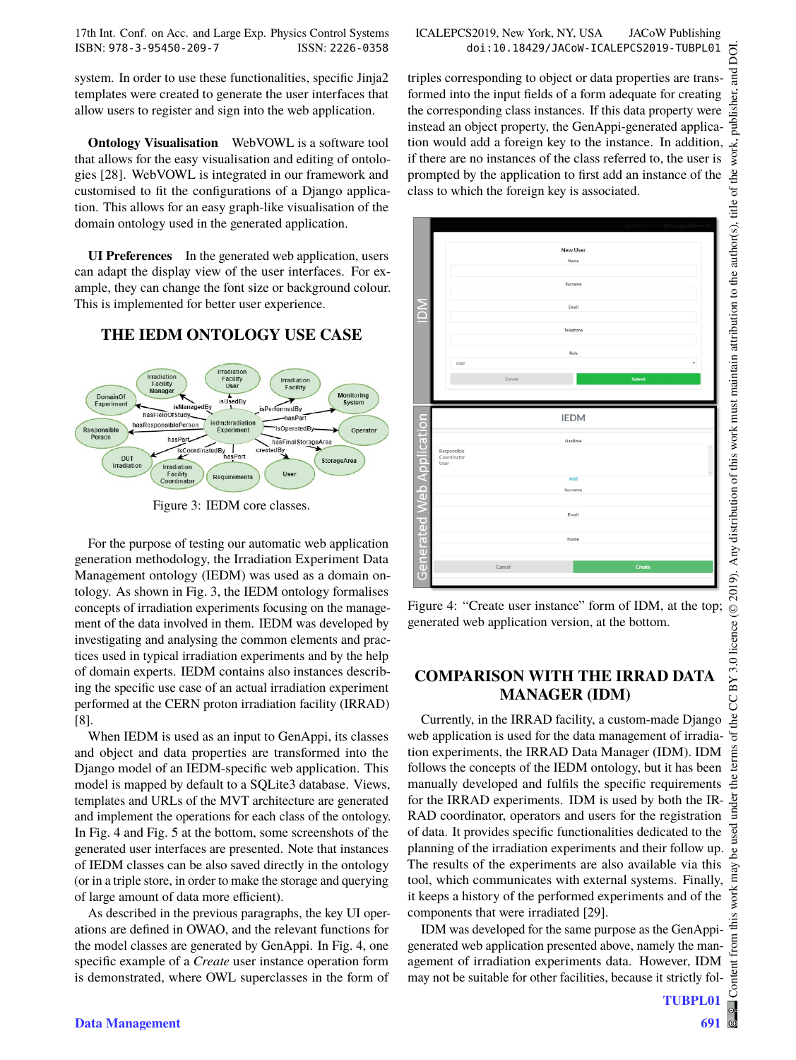system. In order to use these functionalities, specific Jinja2 templates were created to generate the user interfaces that allow users to register and sign into the web application.

**Ontology Visualisation** WebVOWL is a software tool that allows for the easy visualisation and editing of ontologies [28]. WebVOWL is integrated in our framework and customised to fit the configurations of a Django application. This allows for an easy graph-like visualisation of the domain ontology used in the generated application.

**UI Preferences** In the generated web application, users can adapt the display view of the user interfaces. For example, they can change the font size or background colour. This is implemented for better user experience.

# **THE IEDM ONTOLOGY USE CASE**



Figure 3: IEDM core classes.

For the purpose of testing our automatic web application generation methodology, the Irradiation Experiment Data Management ontology (IEDM) was used as a domain ontology. As shown in Fig. 3, the IEDM ontology formalises concepts of irradiation experiments focusing on the management of the data involved in them. IEDM was developed by investigating and analysing the common elements and practices used in typical irradiation experiments and by the help of domain experts. IEDM contains also instances describing the specific use case of an actual irradiation experiment performed at the CERN proton irradiation facility (IRRAD) [8].

When IEDM is used as an input to GenAppi, its classes and object and data properties are transformed into the Django model of an IEDM-specific web application. This model is mapped by default to a SQLite3 database. Views, templates and URLs of the MVT architecture are generated and implement the operations for each class of the ontology. In Fig. 4 and Fig. 5 at the bottom, some screenshots of the generated user interfaces are presented. Note that instances of IEDM classes can be also saved directly in the ontology (or in a triple store, in order to make the storage and querying of large amount of data more efficient).

As described in the previous paragraphs, the key UI operations are defined in OWAO, and the relevant functions for the model classes are generated by GenAppi. In Fig. 4, one specific example of a *Create* user instance operation form is demonstrated, where OWL superclasses in the form of DOI. 2019). Any distribution of this work must maintain attribution to the author(s), title of the work, publisher, and DOI.and<br>a ier. work, BY 3.0 licence (© 2019). Any distribution of this work must maintain attribution to the author(s), title of the Content from this work may be used under the terms of the CC BY 3.0 licence ( $@$ 

g the J terms

der g

 $\boldsymbol{\mathcal{S}}$ may work

from (

Content

triples corresponding to object or data properties are transformed into the input fields of a form adequate for creating the corresponding class instances. If this data property were instead an object property, the GenAppi-generated application would add a foreign key to the instance. In addition, if there are no instances of the class referred to, the user is prompted by the application to first add an instance of the class to which the foreign key is associated.



Figure 4: "Create user instance" form of IDM, at the top; generated web application version, at the bottom.

# **COMPARISON WITH THE IRRAD DATA MANAGER (IDM)**

Currently, in the IRRAD facility, a custom-made Django web application is used for the data management of irradiation experiments, the IRRAD Data Manager (IDM). IDM follows the concepts of the IEDM ontology, but it has been manually developed and fulfils the specific requirements for the IRRAD experiments. IDM is used by both the IR-RAD coordinator, operators and users for the registration of data. It provides specific functionalities dedicated to the planning of the irradiation experiments and their follow up. The results of the experiments are also available via this tool, which communicates with external systems. Finally, it keeps a history of the performed experiments and of the components that were irradiated [29].

IDM was developed for the same purpose as the GenAppigenerated web application presented above, namely the management of irradiation experiments data. However, IDM may not be suitable for other facilities, because it strictly fol-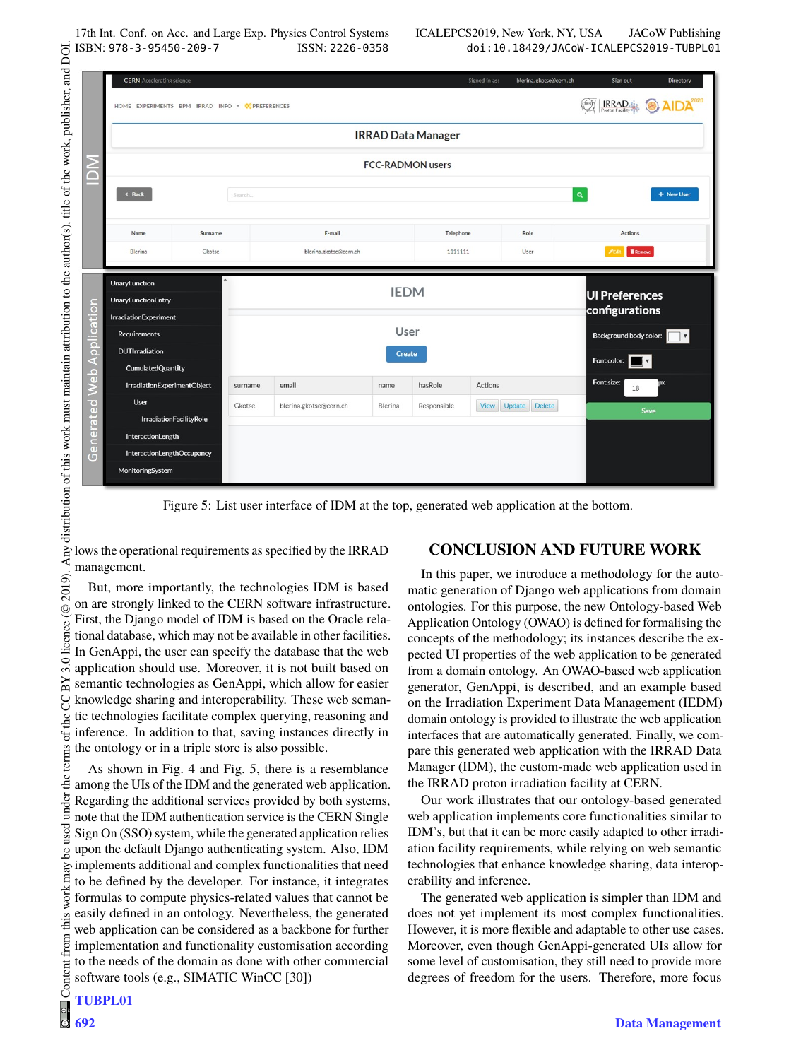| HOME EXPERIMENTS BPM IRRAD INFO *<br>< Back | <b>DC PREFERENCES</b>                                                                                                                   |                              | <b>IRRAD Data Manager</b>                    |                 |                                                 | <b>IRRAD</b><br>AIDA       |  |
|---------------------------------------------|-----------------------------------------------------------------------------------------------------------------------------------------|------------------------------|----------------------------------------------|-----------------|-------------------------------------------------|----------------------------|--|
|                                             |                                                                                                                                         |                              |                                              |                 |                                                 |                            |  |
|                                             |                                                                                                                                         |                              |                                              |                 |                                                 |                            |  |
|                                             |                                                                                                                                         |                              | <b>FCC-RADMON users</b>                      |                 |                                                 |                            |  |
|                                             | Search                                                                                                                                  |                              |                                              |                 |                                                 | $\mathbf{Q}$<br>+ New User |  |
|                                             |                                                                                                                                         |                              |                                              |                 |                                                 |                            |  |
| Name                                        |                                                                                                                                         | E-mail                       |                                              | Telephone       | Role                                            | <b>Actions</b>             |  |
| Blerina<br>Gkotse                           |                                                                                                                                         | blerina.gkotse@cern.ch       |                                              | 1111111<br>User |                                                 | <b>FEdit Remove</b>        |  |
|                                             |                                                                                                                                         |                              |                                              |                 |                                                 |                            |  |
| <b>UnaryFunction</b>                        | <b>UI Preferences</b>                                                                                                                   |                              |                                              |                 |                                                 |                            |  |
| <b>UnaryFunctionEntry</b>                   |                                                                                                                                         |                              |                                              | configurations  |                                                 |                            |  |
|                                             |                                                                                                                                         |                              |                                              |                 |                                                 |                            |  |
|                                             |                                                                                                                                         |                              | Background body color:<br>$\pmb{\mathrm{v}}$ |                 |                                                 |                            |  |
|                                             |                                                                                                                                         |                              |                                              |                 | Font color:                                     |                            |  |
|                                             |                                                                                                                                         |                              |                                              |                 |                                                 | Font size:                 |  |
| User                                        |                                                                                                                                         |                              | Blerina                                      |                 |                                                 | 18                         |  |
|                                             |                                                                                                                                         |                              |                                              |                 |                                                 |                            |  |
| <b>IrradiationFacilityRole</b>              |                                                                                                                                         |                              |                                              | Responsible     | View Update Delete                              | Save                       |  |
| InteractionLength                           |                                                                                                                                         |                              |                                              |                 |                                                 |                            |  |
| <b>InteractionLengthOccupancy</b>           |                                                                                                                                         |                              |                                              |                 |                                                 |                            |  |
|                                             | <b>IrradiationExperiment</b><br><b>Requirements</b><br><b>DUTIrradiation</b><br><b>CumulatedQuantity</b><br>IrradiationExperimentObject | Surname<br>surname<br>Gkotse | email<br>blerina.gkotse@cern.ch              | name            | <b>IEDM</b><br>User<br><b>Create</b><br>hasRole | Actions                    |  |

Figure 5: List user interface of IDM at the top, generated web application at the bottom.

But, more importantly, the technologies IDM is based on are strongly linked to the CERN software infrastructure. First, the Django model of IDM is based on the Oracle relational database, which may not be available in other facilities. In GenAppi, the user can specify the database that the web application should use. Moreover, it is not built based on semantic technologies as GenAppi, which allow for easier knowledge sharing and interoperability. These web semantic technologies facilitate complex querying, reasoning and inference. In addition to that, saving instances directly in terms of the ontology or in a triple store is also possible.

Content from this work may be used under the terms of the CC BY 3.0 licence ( $@$ As shown in Fig. 4 and Fig. 5, there is a resemblance among the UIs of the IDM and the generated web application. Regarding the additional services provided by both systems, note that the IDM authentication service is the CERN Single Sign On (SSO) system, while the generated application relies upon the default Django authenticating system. Also, IDM implements additional and complex functionalities that need work may to be defined by the developer. For instance, it integrates formulas to compute physics-related values that cannot be easily defined in an ontology. Nevertheless, the generated web application can be considered as a backbone for further implementation and functionality customisation according to the needs of the domain as done with other commercial software tools (e.g., SIMATIC WinCC [30])

# **CONCLUSION AND FUTURE WORK**

In this paper, we introduce a methodology for the automatic generation of Django web applications from domain ontologies. For this purpose, the new Ontology-based Web Application Ontology (OWAO) is defined for formalising the concepts of the methodology; its instances describe the expected UI properties of the web application to be generated from a domain ontology. An OWAO-based web application generator, GenAppi, is described, and an example based on the Irradiation Experiment Data Management (IEDM) domain ontology is provided to illustrate the web application interfaces that are automatically generated. Finally, we compare this generated web application with the IRRAD Data Manager (IDM), the custom-made web application used in the IRRAD proton irradiation facility at CERN.

Our work illustrates that our ontology-based generated web application implements core functionalities similar to IDM's, but that it can be more easily adapted to other irradiation facility requirements, while relying on web semantic technologies that enhance knowledge sharing, data interoperability and inference.

The generated web application is simpler than IDM and does not yet implement its most complex functionalities. However, it is more flexible and adaptable to other use cases. Moreover, even though GenAppi-generated UIs allow for some level of customisation, they still need to provide more degrees of freedom for the users. Therefore, more focus

licence (©

3.0 ΒY S the

the t under

used je

this  $\sqrt{ }$ from

Content

 $\begin{matrix} 6 \ \end{matrix}$ 

2019).